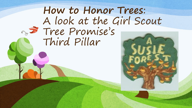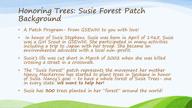## Honoring Trees: Susie Forest Patch Background

- A Patch Program- From GSEWNI to you with love!
- In honor of Susie Stephens. Susie was born in April of 1965. Susie was a Girl Scout in GSEWNI. She participated in many activities including a trip to Japan with her troop. She became an environmental advocate with a local non-profit.
- Susie's life was cut short in March of 2002 when she was killed crossing a street in a crosswalk.
- The "Susie Forest" patch represents the movement her mother<br>Nancy MacKerrow has started to plant trees in Spokane in honor<br>of Susie. Nancy's goal to have a whole forest of Susie Trees- one in every state. **We want to help her!**
- Susie has **300** trees planted in her "forest" around the world!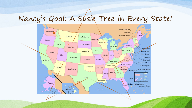## Nancy's Goal: A Susie Tree in Every State!

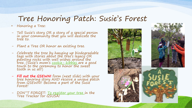## Tree Honoring Patch: Susie's Forest

• Honoring a Tree:

- Tell Susie's story OR a story of a special person in your community that you will dedicate the tree to.
- Plant a Tree OR honor an existing tree.
- Celebrate the tree by hanging up biodegradable tags with stories about the tree's legacy OR painting rocks with well wishes around the tree. (Susie's mom's <u>cookie– kibbles </u>are a good<br>touch to the ceremony to honor the sweet tooth in us all!)
- **Fill out the GSEWNI** form (next slide) with your<br>tree honoring story AND receive a unique patch<br>from GSEWNI! Become a part of the Susie Forest!
- DON''T FORGET: <u>To register your tree</u> in the Tree Tracker for GSUSA!